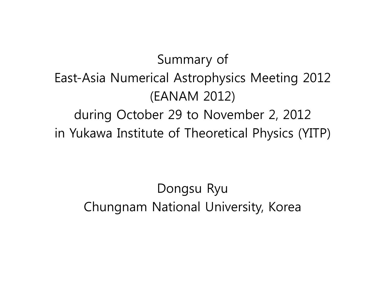Summary of East-Asia Numerical Astrophysics Meeting 2012 (EANAM 2012) during October 29 to November 2, 2012 in Yukawa Institute of Theoretical Physics (YITP)

> Dongsu Ryu Chungnam National University, Korea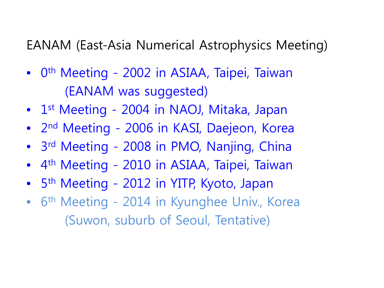EANAM (East-Asia Numerical Astrophysics Meeting)

- 0<sup>th</sup> Meeting 2002 in ASIAA, Taipei, Taiwan (EANAM was suggested)
- 1<sup>st</sup> Meeting 2004 in NAOJ, Mitaka, Japan
- 2<sup>nd</sup> Meeting 2006 in KASI, Daejeon, Korea
- 3<sup>rd</sup> Meeting 2008 in PMO, Nanjing, China
- 4th Meeting 2010 in ASIAA, Taipei, Taiwan
- 5<sup>th</sup> Meeting 2012 in YITP, Kyoto, Japan
- 6<sup>th</sup> Meeting 2014 in Kyunghee Univ., Korea (Suwon, suburb of Seoul, Tentative)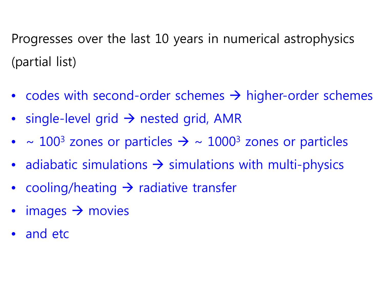Progresses over the last 10 years in numerical astrophysics (partial list)

- codes with second-order schemes  $\rightarrow$  higher-order schemes
- single-level grid  $\rightarrow$  nested grid, AMR
- $\sim 100^3$  zones or particles  $\rightarrow \sim 1000^3$  zones or particles
- adiabatic simulations  $\rightarrow$  simulations with multi-physics
- cooling/heating  $\rightarrow$  radiative transfer
- $\bullet$  images  $\rightarrow$  movies
- and etc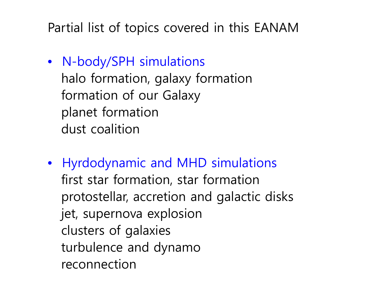Partial list of topics covered in this EANAM

- N-body/SPH simulations halo formation, galaxy formation formation of our Galaxy planet formation dust coalition
- Hyrdodynamic and MHD simulations first star formation, star formation protostellar, accretion and galactic disks jet, supernova explosion clusters of galaxies turbulence and dynamo reconnection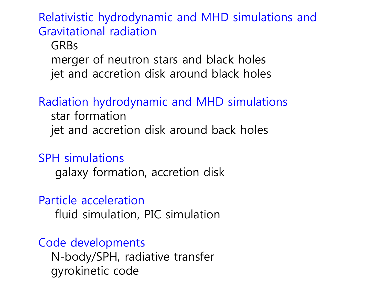Relativistic hydrodynamic and MHD simulations and Gravitational radiation

## GRBs merger of neutron stars and black holes jet and accretion disk around black holes

## Radiation hydrodynamic and MHD simulations

 star formation jet and accretion disk around back holes

SPH simulations

galaxy formation, accretion disk

Particle acceleration

fluid simulation, PIC simulation

## Code developments

 N-body/SPH, radiative transfer gyrokinetic code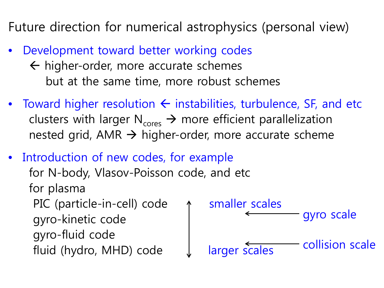Future direction for numerical astrophysics (personal view)

- Development toward better working codes
	- $\leftarrow$  higher-order, more accurate schemes but at the same time, more robust schemes
- Toward higher resolution  $\leftarrow$  instabilities, turbulence, SF, and etc clusters with larger  $N_{\text{cores}} \rightarrow$  more efficient parallelization nested grid, AMR  $\rightarrow$  higher-order, more accurate scheme
- Introduction of new codes, for example for N-body, Vlasov-Poisson code, and etc for plasma PIC (particle-in-cell) code  $\uparrow$  smaller scales gyro-kinetic code gyro-fluid code fluid (hydro, MHD) code J larger scales gyro scale collision scale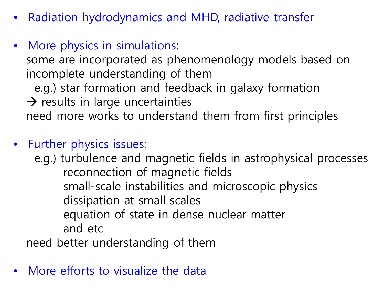- Radiation hydrodynamics and MHD, radiative transfer
- More physics in simulations:

 some are incorporated as phenomenology models based on incomplete understanding of them e.g.) star formation and feedback in galaxy formation  $\rightarrow$  results in large uncertainties

need more works to understand them from first principles

• Further physics issues:

 e.g.) turbulence and magnetic fields in astrophysical processes reconnection of magnetic fields small-scale instabilities and microscopic physics dissipation at small scales equation of state in dense nuclear matter and etc

need better understanding of them

More efforts to visualize the data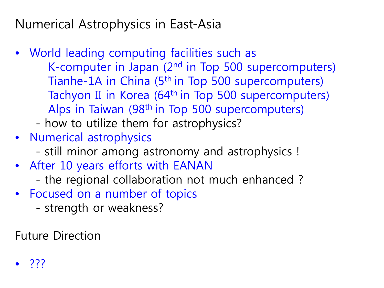Numerical Astrophysics in East-Asia

- World leading computing facilities such as K-computer in Japan (2nd in Top 500 supercomputers) Tianhe-1A in China (5<sup>th</sup> in Top 500 supercomputers) Tachyon II in Korea (64<sup>th</sup> in Top 500 supercomputers) Alps in Taiwan (98th in Top 500 supercomputers)
	- how to utilize them for astrophysics?
- Numerical astrophysics
	- still minor among astronomy and astrophysics !
- After 10 years efforts with EANAN
	- the regional collaboration not much enhanced ?
- Focused on a number of topics
	- strength or weakness?

Future Direction

• ???